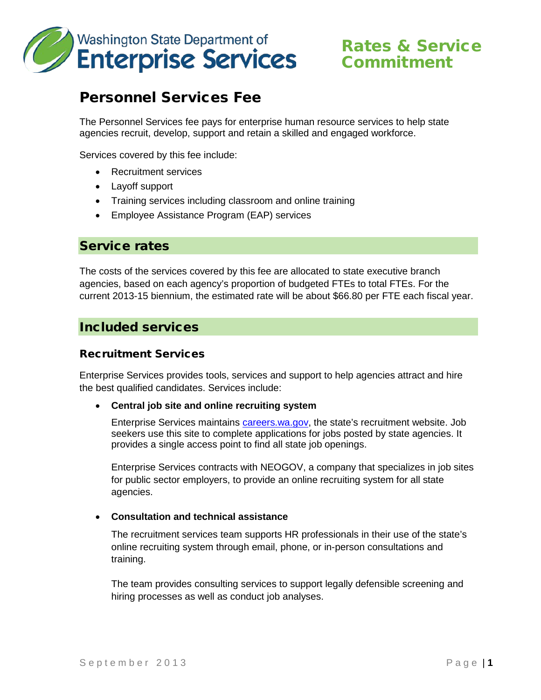

# Commitment

## Personnel Services Fee

The Personnel Services fee pays for enterprise human resource services to help state agencies recruit, develop, support and retain a skilled and engaged workforce.

Services covered by this fee include:

- Recruitment services
- Layoff support
- Training services including classroom and online training
- Employee Assistance Program (EAP) services

## Service rates

The costs of the services covered by this fee are allocated to state executive branch agencies, based on each agency's proportion of budgeted FTEs to total FTEs. For the current 2013-15 biennium, the estimated rate will be about \$66.80 per FTE each fiscal year.

## Included services

## Recruitment Services

Enterprise Services provides tools, services and support to help agencies attract and hire the best qualified candidates. Services include:

#### • **Central job site and online recruiting system**

Enterprise Services maintains [careers.wa.gov,](http://careers.wa.gov/) the state's recruitment website. Job seekers use this site to complete applications for jobs posted by state agencies. It provides a single access point to find all state job openings.

Enterprise Services contracts with NEOGOV, a company that specializes in job sites for public sector employers, to provide an online recruiting system for all state agencies.

#### • **Consultation and technical assistance**

The recruitment services team supports HR professionals in their use of the state's online recruiting system through email, phone, or in-person consultations and training.

The team provides consulting services to support legally defensible screening and hiring processes as well as conduct job analyses.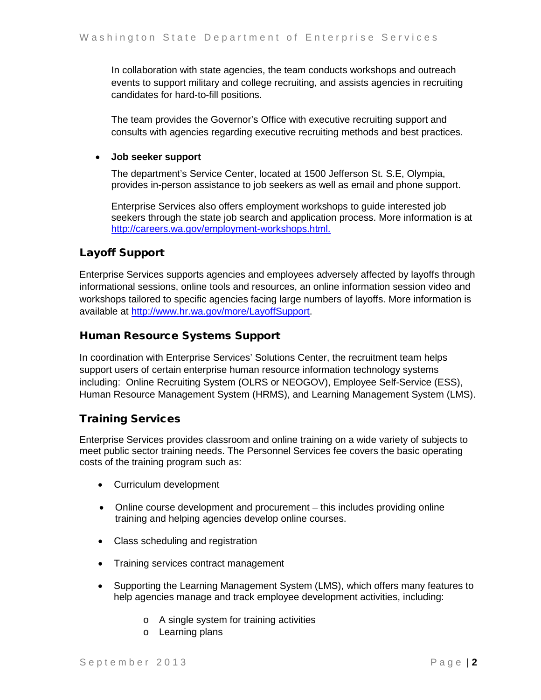In collaboration with state agencies, the team conducts workshops and outreach events to support military and college recruiting, and assists agencies in recruiting candidates for hard-to-fill positions.

The team provides the Governor's Office with executive recruiting support and consults with agencies regarding executive recruiting methods and best practices.

## • **Job seeker support**

The department's Service Center, located at 1500 Jefferson St. S.E, Olympia, provides in-person assistance to job seekers as well as email and phone support.

Enterprise Services also offers employment workshops to guide interested job seekers through the state job search and application process. More information is at [http://careers.wa.gov/employment-workshops.html.](http://careers.wa.gov/employment-workshops.html)

## Layoff Support

Enterprise Services supports agencies and employees adversely affected by layoffs through informational sessions, online tools and resources, an online information session video and workshops tailored to specific agencies facing large numbers of layoffs. More information is available at [http://www.hr.wa.gov/more/LayoffSupport.](http://www.hr.wa.gov/more/LayoffSupport)

## Human Resource Systems Support

In coordination with Enterprise Services' Solutions Center, the recruitment team helps support users of certain enterprise human resource information technology systems including: Online Recruiting System (OLRS or NEOGOV), Employee Self-Service (ESS), Human Resource Management System (HRMS), and Learning Management System (LMS).

## Training Services

Enterprise Services provides classroom and online training on a wide variety of subjects to meet public sector training needs. The Personnel Services fee covers the basic operating costs of the training program such as:

- Curriculum development
- Online course development and procurement this includes providing online training and helping agencies develop online courses.
- Class scheduling and registration
- Training services contract management
- Supporting the Learning Management System (LMS), which offers many features to help agencies manage and track employee development activities, including:
	- o A single system for training activities
	- o Learning plans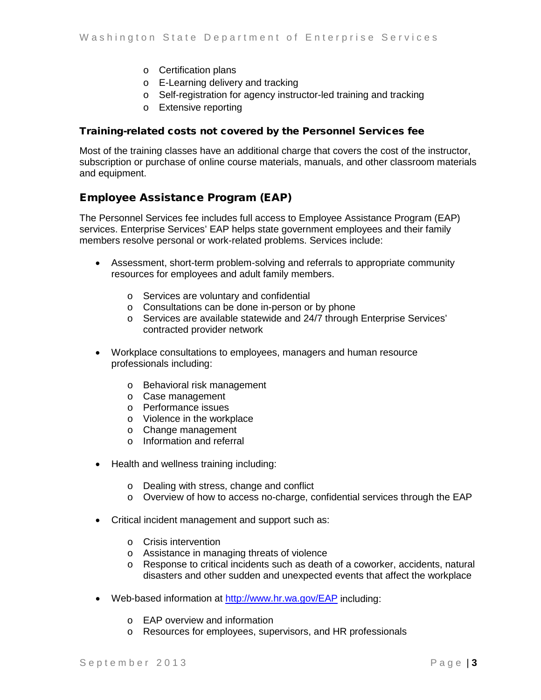- o Certification plans
- o E-Learning delivery and tracking
- o Self-registration for agency instructor-led training and tracking
- o Extensive reporting

#### Training-related costs not covered by the Personnel Services fee

Most of the training classes have an additional charge that covers the cost of the instructor, subscription or purchase of online course materials, manuals, and other classroom materials and equipment.

## Employee Assistance Program (EAP)

The Personnel Services fee includes full access to Employee Assistance Program (EAP) services. Enterprise Services' EAP helps state government employees and their family members resolve personal or work-related problems. Services include:

- Assessment, short-term problem-solving and referrals to appropriate community resources for employees and adult family members.
	- o Services are voluntary and confidential
	- o Consultations can be done in-person or by phone
	- o Services are available statewide and 24/7 through Enterprise Services' contracted provider network
- Workplace consultations to employees, managers and human resource professionals including:
	- o Behavioral risk management
	- o Case management
	- o Performance issues
	- o Violence in the workplace
	- o Change management
	- o Information and referral
- Health and wellness training including:
	- o Dealing with stress, change and conflict
	- o Overview of how to access no-charge, confidential services through the EAP
- Critical incident management and support such as:
	- o Crisis intervention
	- o Assistance in managing threats of violence
	- o Response to critical incidents such as death of a coworker, accidents, natural disasters and other sudden and unexpected events that affect the workplace
- Web-based information at<http://www.hr.wa.gov/EAP> including:
	- o EAP overview and information
	- o Resources for employees, supervisors, and HR professionals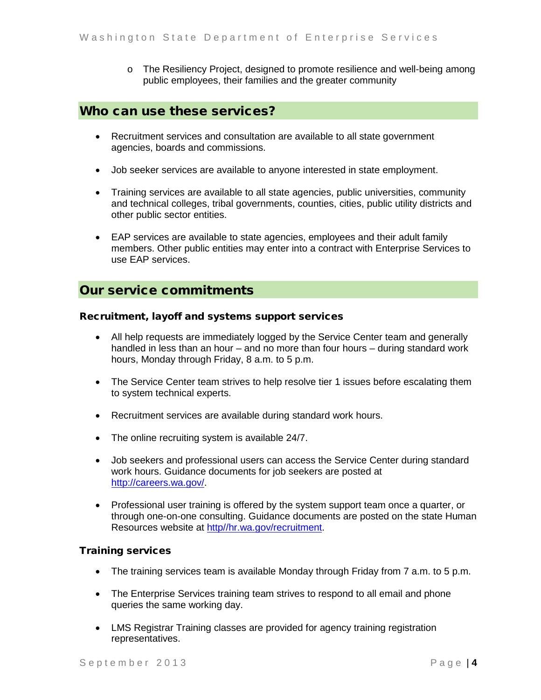o The Resiliency Project, designed to promote resilience and well-being among public employees, their families and the greater community

## Who can use these services?

- Recruitment services and consultation are available to all state government agencies, boards and commissions.
- Job seeker services are available to anyone interested in state employment.
- Training services are available to all state agencies, public universities, community and technical colleges, tribal governments, counties, cities, public utility districts and other public sector entities.
- EAP services are available to state agencies, employees and their adult family members. Other public entities may enter into a contract with Enterprise Services to use EAP services.

## Our service commitments

#### Recruitment, layoff and systems support services

- All help requests are immediately logged by the Service Center team and generally handled in less than an hour – and no more than four hours – during standard work hours, Monday through Friday, 8 a.m. to 5 p.m.
- The Service Center team strives to help resolve tier 1 issues before escalating them to system technical experts.
- Recruitment services are available during standard work hours.
- The online recruiting system is available 24/7.
- Job seekers and professional users can access the Service Center during standard work hours. Guidance documents for job seekers are posted at [http://careers.wa.gov/.](http://careers.wa.gov/)
- Professional user training is offered by the system support team once a quarter, or through one-on-one consulting. Guidance documents are posted on the state Human Resources website at [http//hr.wa.gov/recruitment.](http://hr.wa.gov/recruitment)

#### Training services

- The training services team is available Monday through Friday from 7 a.m. to 5 p.m.
- The Enterprise Services training team strives to respond to all email and phone queries the same working day.
- LMS Registrar Training classes are provided for agency training registration representatives.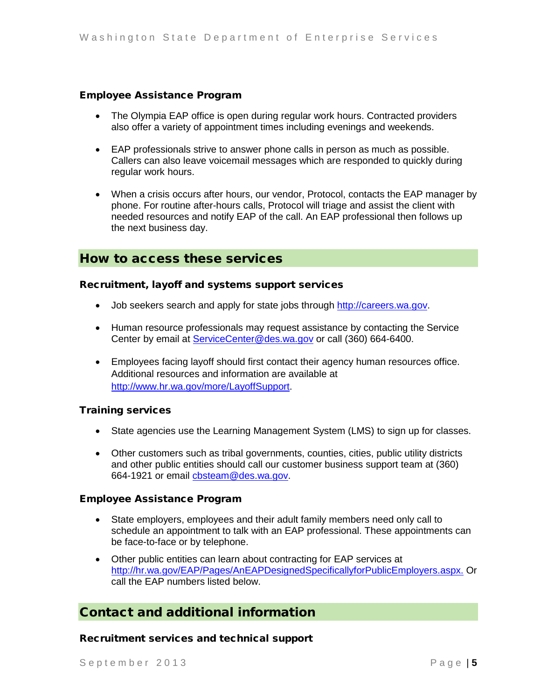## Employee Assistance Program

- The Olympia EAP office is open during regular work hours. Contracted providers also offer a variety of appointment times including evenings and weekends.
- EAP professionals strive to answer phone calls in person as much as possible. Callers can also leave voicemail messages which are responded to quickly during regular work hours.
- When a crisis occurs after hours, our vendor, Protocol, contacts the EAP manager by phone. For routine after-hours calls, Protocol will triage and assist the client with needed resources and notify EAP of the call. An EAP professional then follows up the next business day.

## How to access these services

#### Recruitment, layoff and systems support services

- Job seekers search and apply for state jobs through [http://careers.wa.gov.](http://careers.wa.gov/)
- Human resource professionals may request assistance by contacting the Service Center by email at [ServiceCenter@des.wa.gov](mailto:ServiceCenter@des.wa.gov) or call (360) 664-6400.
- Employees facing layoff should first contact their agency human resources office. Additional resources and information are available at [http://www.hr.wa.gov/more/LayoffSupport.](http://www.hr.wa.gov/more/LayoffSupport)

#### Training services

- State agencies use the Learning Management System (LMS) to sign up for classes.
- Other customers such as tribal governments, counties, cities, public utility districts and other public entities should call our customer business support team at (360) 664-1921 or email [cbsteam@des.wa.gov.](mailto:cbsteam@des.wa.gov)

#### Employee Assistance Program

- State employers, employees and their adult family members need only call to schedule an appointment to talk with an EAP professional. These appointments can be face-to-face or by telephone.
- Other public entities can learn about contracting for EAP services at [http://hr.wa.gov/EAP/Pages/AnEAPDesignedSpecificallyforPublicEmployers.aspx.](http://hr.wa.gov/EAP/Pages/AnEAPDesignedSpecificallyforPublicEmployers.aspx) Or call the EAP numbers listed below.

## Contact and additional information

#### Recruitment services and technical support